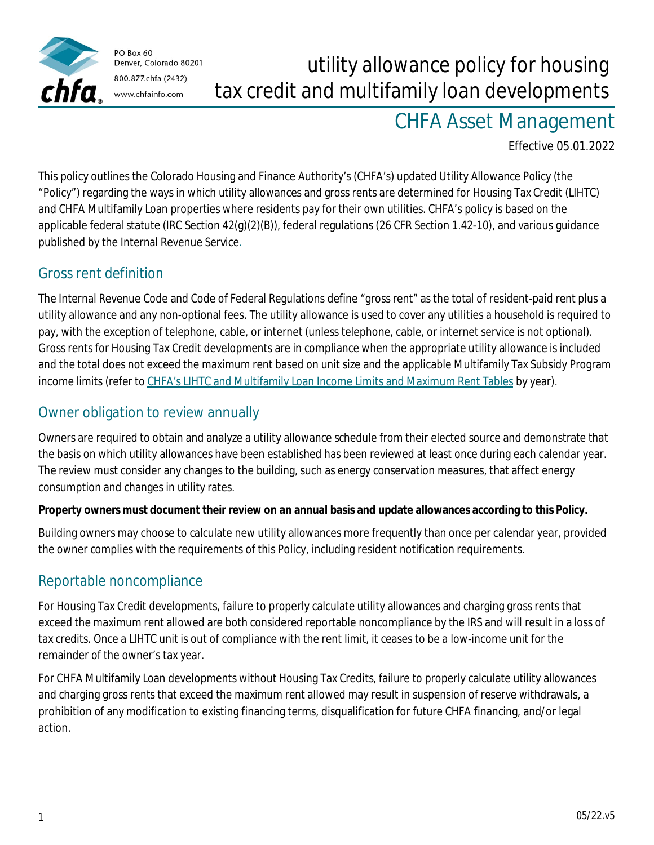

PO Box 60 Denver, Colorado 80201 800.877.chfa (2432) www.chfainfo.com

# utility allowance policy for housing tax credit and multifamily loan developments

## CHFA Asset Management

Effective 05.01.2022

This policy outlines the Colorado Housing and Finance Authority's (CHFA's) updated Utility Allowance Policy (the "Policy") regarding the ways in which utility allowances and gross rents are determined for Housing Tax Credit (LIHTC) and CHFA Multifamily Loan properties where residents pay for their own utilities. CHFA's policy is based on the applicable federal statute (IRC Section 42(g)(2)(B)), federal regulations (26 CFR Section 1.42-10), and various guidance published by the Internal Revenue Service.

### Gross rent definition

The Internal Revenue Code and Code of Federal Regulations define "gross rent" as the total of resident-paid rent plus a utility allowance and any non-optional fees. The utility allowance is used to cover any utilities a household is required to pay, with the exception of telephone, cable, or internet (unless telephone, cable, or internet service is not optional). Gross rents for Housing Tax Credit developments are in compliance when the appropriate utility allowance is included and the total does not exceed the maximum rent based on unit size and the applicable Multifamily Tax Subsidy Program income limits (refer to [CHFA's LIHTC and Multifamily Loan Income Limits and Maximum Rent Tables](https://www.chfainfo.com/rental-housing/asset-management/rent-income-limits) by year).

## Owner obligation to review annually

Owners are required to obtain and analyze a utility allowance schedule from their elected source and demonstrate that the basis on which utility allowances have been established has been reviewed at least once during each calendar year. The review must consider any changes to the building, such as energy conservation measures, that affect energy consumption and changes in utility rates.

**Property owners must document their review on an annual basis and update allowances according to this Policy.**

Building owners may choose to calculate new utility allowances more frequently than once per calendar year, provided the owner complies with the requirements of this Policy, including resident notification requirements.

### Reportable noncompliance

For Housing Tax Credit developments, failure to properly calculate utility allowances and charging gross rents that exceed the maximum rent allowed are both considered reportable noncompliance by the IRS and will result in a loss of tax credits. Once a LIHTC unit is out of compliance with the rent limit, it ceases to be a low-income unit for the remainder of the owner's tax year.

For CHFA Multifamily Loan developments without Housing Tax Credits, failure to properly calculate utility allowances and charging gross rents that exceed the maximum rent allowed may result in suspension of reserve withdrawals, a prohibition of any modification to existing financing terms, disqualification for future CHFA financing, and/or legal action.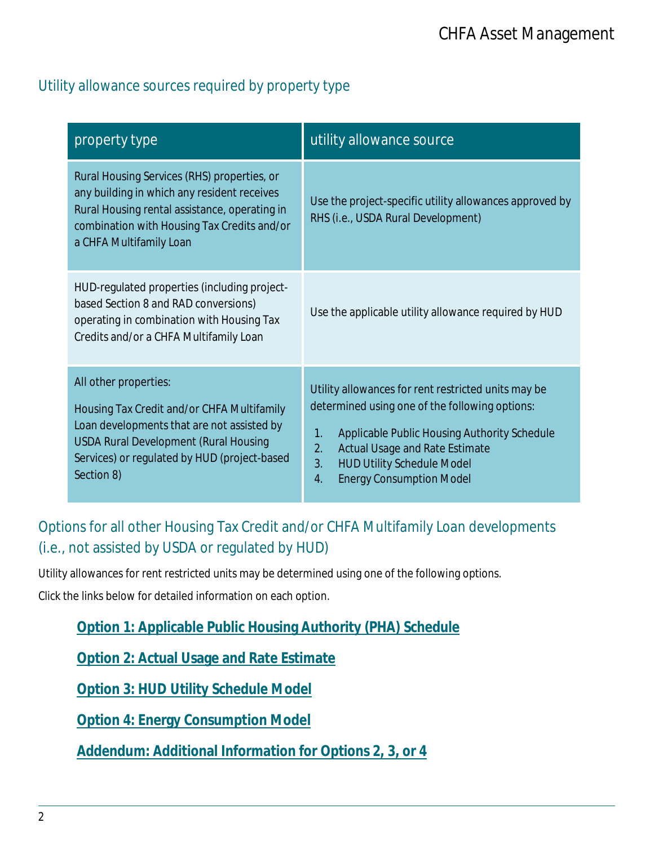#### Utility [allowance sources required by property type](#page-12-0)

| property type                                                                                                                                                                                                                   | utility allowance source                                                                                                                                                                                                                                                                       |
|---------------------------------------------------------------------------------------------------------------------------------------------------------------------------------------------------------------------------------|------------------------------------------------------------------------------------------------------------------------------------------------------------------------------------------------------------------------------------------------------------------------------------------------|
| Rural Housing Services (RHS) properties, or<br>any building in which any resident receives<br>Rural Housing rental assistance, operating in<br>combination with Housing Tax Credits and/or<br>a CHFA Multifamily Loan           | Use the project-specific utility allowances approved by<br>RHS (i.e., USDA Rural Development)                                                                                                                                                                                                  |
| HUD-regulated properties (including project-<br>based Section 8 and RAD conversions)<br>operating in combination with Housing Tax<br>Credits and/or a CHFA Multifamily Loan                                                     | Use the applicable utility allowance required by HUD                                                                                                                                                                                                                                           |
| All other properties:<br>Housing Tax Credit and/or CHFA Multifamily<br>Loan developments that are not assisted by<br><b>USDA Rural Development (Rural Housing</b><br>Services) or regulated by HUD (project-based<br>Section 8) | Utility allowances for rent restricted units may be<br>determined using one of the following options:<br>Applicable Public Housing Authority Schedule<br>1.<br><b>Actual Usage and Rate Estimate</b><br>2.<br>3.<br><b>HUD Utility Schedule Model</b><br><b>Energy Consumption Model</b><br>4. |

## Options for all other Housing Tax Credit and/or CHFA Multifamily Loan developments (i.e., not assisted by USDA or regulated by HUD)

Utility allowances for rent restricted units may be determined using one of the following options.

Click the links below for detailed information on each option.

**Option 1: Applicable Public Housing Authority (PHA) Schedule**

**[Option 2: Actual Usage and Rate Estimate](#page-5-0)**

**[Option 3: HUD Utility Schedule Model](#page-6-0)**

**[Option 4: Energy Consumption Model](#page-8-0)**

[Addendum: Additional Information fo](#page-10-0)r Options 2, 3, or 4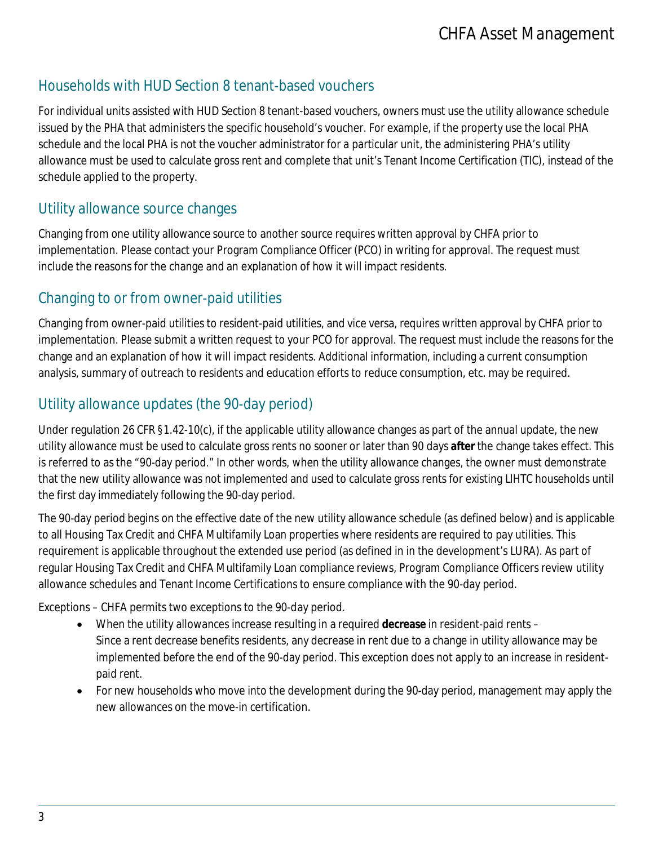### Households with HUD Section 8 tenant-based vouchers

For individual units assisted with HUD Section 8 tenant-based vouchers, owners must use the utility allowance schedule issued by the PHA that administers the specific household's voucher. For example, if the property use the local PHA schedule and the local PHA is not the voucher administrator for a particular unit, the administering PHA's utility allowance must be used to calculate gross rent and complete that unit's Tenant Income Certification (TIC), instead of the schedule applied to the property.

#### Utility allowance source changes

Changing from one utility allowance source to another source requires written approval by CHFA prior to implementation. Please contact your Program Compliance Officer (PCO) in writing for approval. The request must include the reasons for the change and an explanation of how it will impact residents.

### Changing to or from owner-paid utilities

Changing from owner-paid utilities to resident-paid utilities, and vice versa, requires written approval by CHFA prior to implementation. Please submit a written request to your PCO for approval. The request must include the reasons for the change and an explanation of how it will impact residents. Additional information, including a current consumption analysis, summary of outreach to residents and education efforts to reduce consumption, etc. may be required.

## Utility allowance updates (the 90-day period)

Under regulation 26 CFR §1.42-10(c), if the applicable utility allowance changes as part of the annual update, the new utility allowance must be used to calculate gross rents no sooner or later than 90 days **after** the change takes effect. This is referred to as the "90-day period." In other words, when the utility allowance changes, the owner must demonstrate that the new utility allowance was not implemented and used to calculate gross rents for existing LIHTC households until the first day immediately following the 90-day period.

The 90-day period begins on the effective date of the new utility allowance schedule (as defined below) and is applicable to all Housing Tax Credit and CHFA Multifamily Loan properties where residents are required to pay utilities. This requirement is applicable throughout the extended use period (as defined in in the development's LURA). As part of regular Housing Tax Credit and CHFA Multifamily Loan compliance reviews, Program Compliance Officers review utility allowance schedules and Tenant Income Certifications to ensure compliance with the 90-day period.

Exceptions – CHFA permits two exceptions to the 90-day period.

- When the utility allowances increase resulting in a required **decrease** in resident-paid rents Since a rent decrease benefits residents, any decrease in rent due to a change in utility allowance may be implemented before the end of the 90-day period. This exception does not apply to an increase in residentpaid rent.
- For new households who move into the development during the 90-day period, management may apply the new allowances on the move-in certification.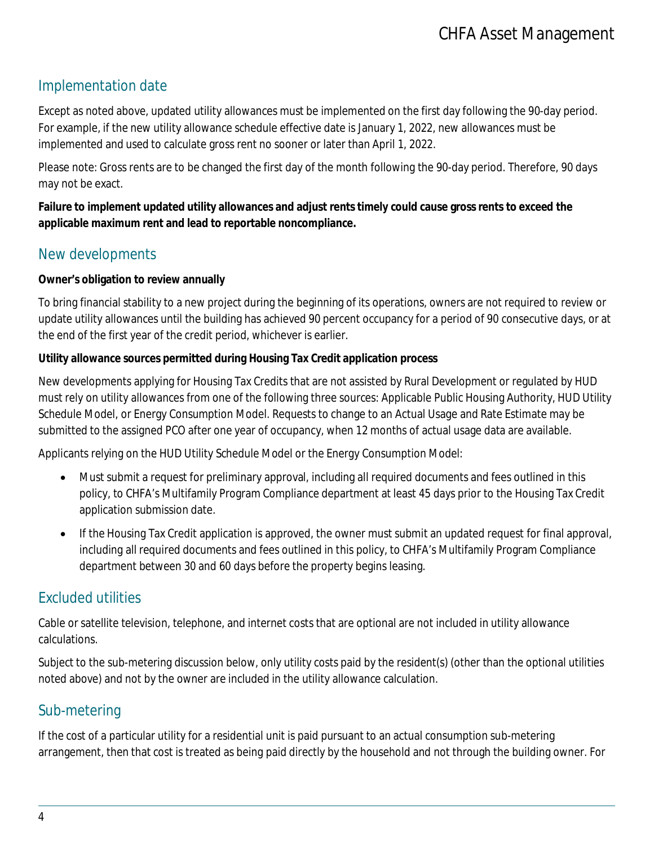### Implementation date

Except as noted above, updated utility allowances must be implemented on the first day following the 90-day period. For example, if the new utility allowance schedule effective date is January 1, 2022, new allowances must be implemented and used to calculate gross rent no sooner or later than April 1, 2022.

Please note: Gross rents are to be changed the first day of the month following the 90-day period. Therefore, 90 days may not be exact.

**Failure to implement updated utility allowances and adjust rents timely could cause gross rents to exceed the applicable maximum rent and lead to reportable noncompliance.**

#### New developments

**Owner's obligation to review annually**

To bring financial stability to a new project during the beginning of its operations, owners are not required to review or update utility allowances until the building has achieved 90 percent occupancy for a period of 90 consecutive days, or at the end of the first year of the credit period, whichever is earlier.

**Utility allowance sources permitted during Housing Tax Credit application process**

New developments applying for Housing Tax Credits that are not assisted by Rural Development or regulated by HUD must rely on utility allowances from one of the following three sources: Applicable Public Housing Authority, HUD Utility Schedule Model, or Energy Consumption Model. Requests to change to an Actual Usage and Rate Estimate may be submitted to the assigned PCO after one year of occupancy, when 12 months of actual usage data are available.

Applicants relying on the HUD Utility Schedule Model or the Energy Consumption Model:

- Must submit a request for preliminary approval, including all required documents and fees outlined in this policy, to CHFA's Multifamily Program Compliance department at least 45 days prior to the Housing Tax Credit application submission date.
- If the Housing Tax Credit application is approved, the owner must submit an updated request for final approval, including all required documents and fees outlined in this policy, to CHFA's Multifamily Program Compliance department between 30 and 60 days before the property begins leasing.

#### Excluded utilities

Cable or satellite television, telephone, and internet costs that are optional are not included in utility allowance calculations.

Subject to the sub-metering discussion below, only utility costs paid by the resident(s) (other than the optional utilities noted above) and not by the owner are included in the utility allowance calculation.

#### Sub-metering

If the cost of a particular utility for a residential unit is paid pursuant to an actual consumption sub-metering arrangement, then that cost is treated as being paid directly by the household and not through the building owner. For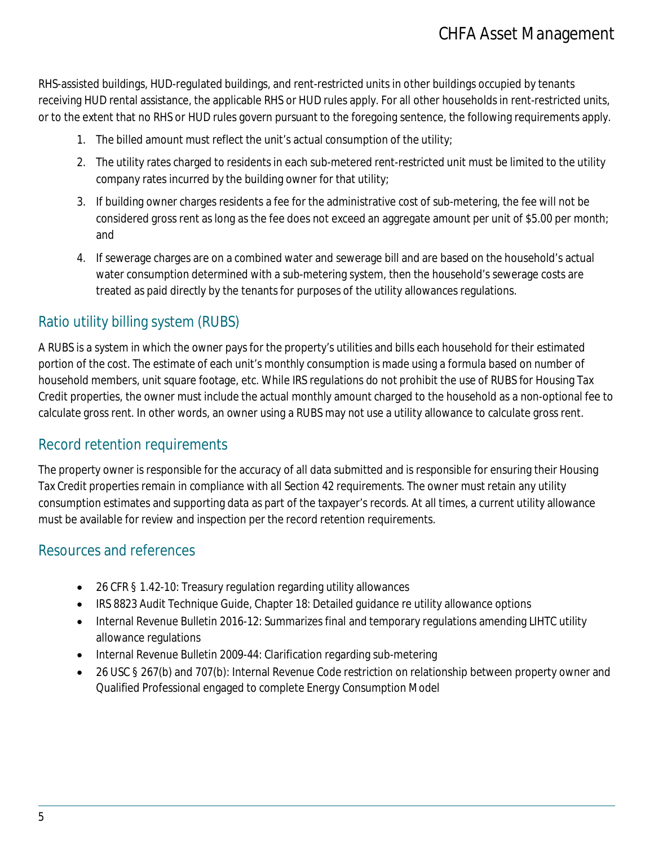RHS-assisted buildings, HUD-regulated buildings, and rent-restricted units in other buildings occupied by tenants receiving HUD rental assistance, the applicable RHS or HUD rules apply. For all other households in rent-restricted units, or to the extent that no RHS or HUD rules govern pursuant to the foregoing sentence, the following requirements apply.

- 1. The billed amount must reflect the unit's actual consumption of the utility;
- 2. The utility rates charged to residents in each sub-metered rent-restricted unit must be limited to the utility company rates incurred by the building owner for that utility;
- 3. If building owner charges residents a fee for the administrative cost of sub-metering, the fee will not be considered gross rent as long as the fee does not exceed an aggregate amount per unit of \$5.00 per month; and
- 4. If sewerage charges are on a combined water and sewerage bill and are based on the household's actual water consumption determined with a sub-metering system, then the household's sewerage costs are treated as paid directly by the tenants for purposes of the utility allowances regulations.

#### Ratio utility billing system (RUBS)

A RUBS is a system in which the owner pays for the property's utilities and bills each household for their estimated portion of the cost. The estimate of each unit's monthly consumption is made using a formula based on number of household members, unit square footage, etc. While IRS regulations do not prohibit the use of RUBS for Housing Tax Credit properties, the owner must include the actual monthly amount charged to the household as a non-optional fee to calculate gross rent. In other words, an owner using a RUBS may not use a utility allowance to calculate gross rent.

#### Record retention requirements

The property owner is responsible for the accuracy of all data submitted and is responsible for ensuring their Housing Tax Credit properties remain in compliance with all Section 42 requirements. The owner must retain any utility consumption estimates and supporting data as part of the taxpayer's records. At all times, a current utility allowance must be available for review and inspection per the record retention requirements.

#### Resources and references

- 26 CFR § 1.42-10: Treasury regulation regarding utility allowances
- IRS 8823 Audit Technique Guide, Chapter 18: Detailed guidance re utility allowance options
- Internal Revenue Bulletin 2016-12: Summarizes final and temporary regulations amending LIHTC utility allowance regulations
- Internal Revenue Bulletin 2009-44: Clarification regarding sub-metering
- 26 USC § 267(b) and 707(b): Internal Revenue Code restriction on relationship between property owner and Qualified Professional engaged to complete Energy Consumption Model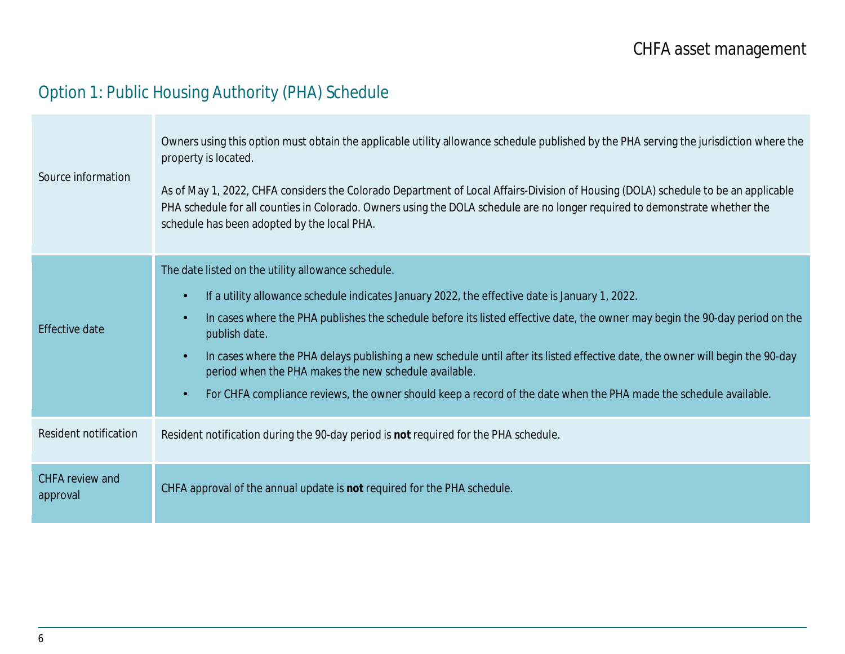## Option 1: Public Housing Authority (PHA) Schedule

<span id="page-5-0"></span>

| Source information           | Owners using this option must obtain the applicable utility allowance schedule published by the PHA serving the jurisdiction where the<br>property is located.<br>As of May 1, 2022, CHFA considers the Colorado Department of Local Affairs-Division of Housing (DOLA) schedule to be an applicable<br>PHA schedule for all counties in Colorado. Owners using the DOLA schedule are no longer required to demonstrate whether the<br>schedule has been adopted by the local PHA.                                                                                                                                                                                        |
|------------------------------|---------------------------------------------------------------------------------------------------------------------------------------------------------------------------------------------------------------------------------------------------------------------------------------------------------------------------------------------------------------------------------------------------------------------------------------------------------------------------------------------------------------------------------------------------------------------------------------------------------------------------------------------------------------------------|
| Effective date               | The date listed on the utility allowance schedule.<br>If a utility allowance schedule indicates January 2022, the effective date is January 1, 2022.<br>$\bullet$<br>In cases where the PHA publishes the schedule before its listed effective date, the owner may begin the 90-day period on the<br>$\bullet$<br>publish date.<br>In cases where the PHA delays publishing a new schedule until after its listed effective date, the owner will begin the 90-day<br>$\bullet$<br>period when the PHA makes the new schedule available.<br>For CHFA compliance reviews, the owner should keep a record of the date when the PHA made the schedule available.<br>$\bullet$ |
| <b>Resident notification</b> | Resident notification during the 90-day period is not required for the PHA schedule.                                                                                                                                                                                                                                                                                                                                                                                                                                                                                                                                                                                      |
| CHFA review and<br>approval  | CHFA approval of the annual update is not required for the PHA schedule.                                                                                                                                                                                                                                                                                                                                                                                                                                                                                                                                                                                                  |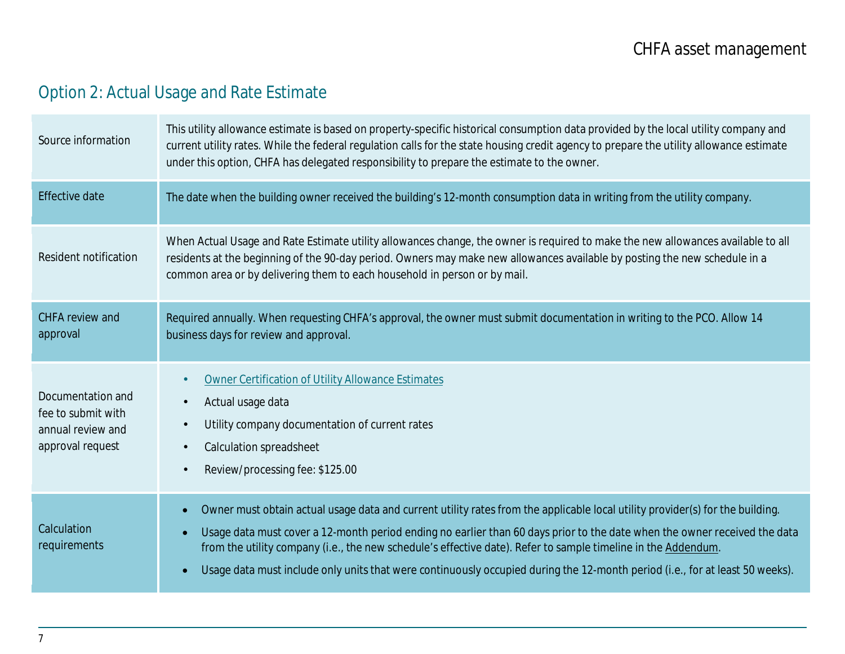## Option 2: Actual Usage and Rate Estimate

<span id="page-6-0"></span>

| Source information                                                               | This utility allowance estimate is based on property-specific historical consumption data provided by the local utility company and<br>current utility rates. While the federal regulation calls for the state housing credit agency to prepare the utility allowance estimate<br>under this option, CHFA has delegated responsibility to prepare the estimate to the owner.                                                                                                                                             |
|----------------------------------------------------------------------------------|--------------------------------------------------------------------------------------------------------------------------------------------------------------------------------------------------------------------------------------------------------------------------------------------------------------------------------------------------------------------------------------------------------------------------------------------------------------------------------------------------------------------------|
| <b>Effective date</b>                                                            | The date when the building owner received the building's 12-month consumption data in writing from the utility company.                                                                                                                                                                                                                                                                                                                                                                                                  |
| <b>Resident notification</b>                                                     | When Actual Usage and Rate Estimate utility allowances change, the owner is required to make the new allowances available to all<br>residents at the beginning of the 90-day period. Owners may make new allowances available by posting the new schedule in a<br>common area or by delivering them to each household in person or by mail.                                                                                                                                                                              |
| CHFA review and<br>approval                                                      | Required annually. When requesting CHFA's approval, the owner must submit documentation in writing to the PCO. Allow 14<br>business days for review and approval.                                                                                                                                                                                                                                                                                                                                                        |
| Documentation and<br>fee to submit with<br>annual review and<br>approval request | Owner Certification of Utility Allowance Estimates<br>Actual usage data<br>Utility company documentation of current rates<br>Calculation spreadsheet<br>Review/processing fee: \$125.00                                                                                                                                                                                                                                                                                                                                  |
| Calculation<br>requirements                                                      | Owner must obtain actual usage data and current utility rates from the applicable local utility provider(s) for the building.<br>$\bullet$<br>Usage data must cover a 12-month period ending no earlier than 60 days prior to the date when the owner received the data<br>from the utility company (i.e., the new schedule's effective date). Refer to sample timeline in the Addendum.<br>Usage data must include only units that were continuously occupied during the 12-month period (i.e., for at least 50 weeks). |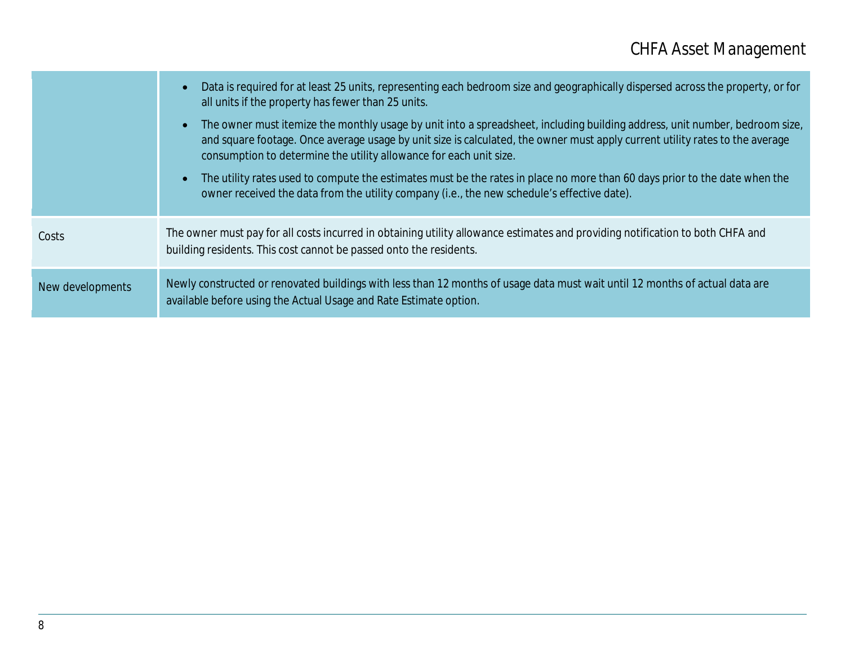|                  | Data is required for at least 25 units, representing each bedroom size and geographically dispersed across the property, or for<br>all units if the property has fewer than 25 units.                                                                                                                                             |
|------------------|-----------------------------------------------------------------------------------------------------------------------------------------------------------------------------------------------------------------------------------------------------------------------------------------------------------------------------------|
|                  | The owner must itemize the monthly usage by unit into a spreadsheet, including building address, unit number, bedroom size,<br>and square footage. Once average usage by unit size is calculated, the owner must apply current utility rates to the average<br>consumption to determine the utility allowance for each unit size. |
|                  | The utility rates used to compute the estimates must be the rates in place no more than 60 days prior to the date when the<br>owner received the data from the utility company (i.e., the new schedule's effective date).                                                                                                         |
| Costs            | The owner must pay for all costs incurred in obtaining utility allowance estimates and providing notification to both CHFA and<br>building residents. This cost cannot be passed onto the residents.                                                                                                                              |
| New developments | Newly constructed or renovated buildings with less than 12 months of usage data must wait until 12 months of actual data are<br>available before using the Actual Usage and Rate Estimate option.                                                                                                                                 |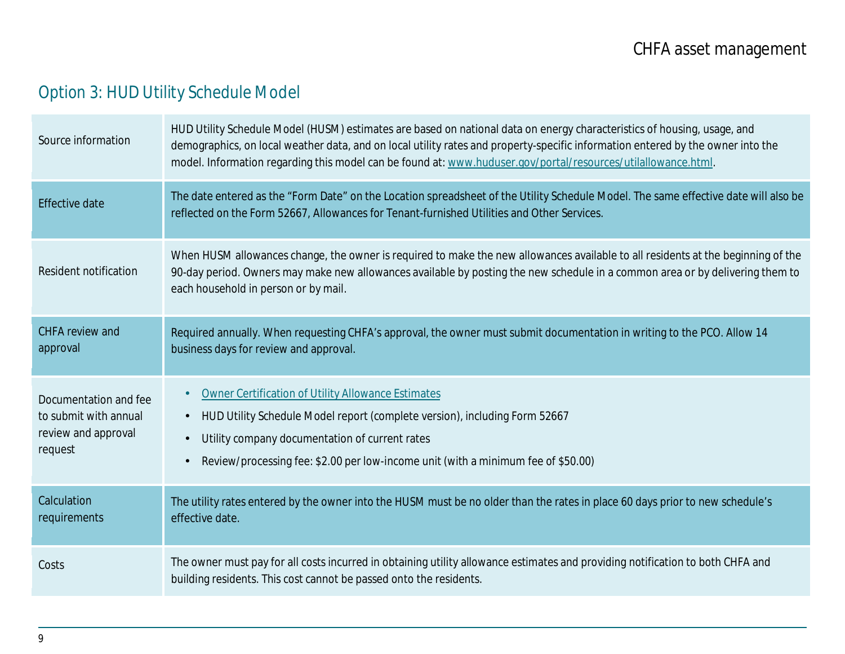## Option 3: HUD Utility Schedule Model

<span id="page-8-0"></span>

| Source information                                                               | HUD Utility Schedule Model (HUSM) estimates are based on national data on energy characteristics of housing, usage, and<br>demographics, on local weather data, and on local utility rates and property-specific information entered by the owner into the<br>model. Information regarding this model can be found at: www.huduser.gov/portal/resources/utilallowance.html. |
|----------------------------------------------------------------------------------|-----------------------------------------------------------------------------------------------------------------------------------------------------------------------------------------------------------------------------------------------------------------------------------------------------------------------------------------------------------------------------|
| <b>Effective date</b>                                                            | The date entered as the "Form Date" on the Location spreadsheet of the Utility Schedule Model. The same effective date will also be<br>reflected on the Form 52667, Allowances for Tenant-furnished Utilities and Other Services.                                                                                                                                           |
| <b>Resident notification</b>                                                     | When HUSM allowances change, the owner is required to make the new allowances available to all residents at the beginning of the<br>90-day period. Owners may make new allowances available by posting the new schedule in a common area or by delivering them to<br>each household in person or by mail.                                                                   |
| CHFA review and<br>approval                                                      | Required annually. When requesting CHFA's approval, the owner must submit documentation in writing to the PCO. Allow 14<br>business days for review and approval.                                                                                                                                                                                                           |
| Documentation and fee<br>to submit with annual<br>review and approval<br>request | Owner Certification of Utility Allowance Estimates<br>HUD Utility Schedule Model report (complete version), including Form 52667<br>$\bullet$<br>Utility company documentation of current rates<br>Review/processing fee: \$2.00 per low-income unit (with a minimum fee of \$50.00)                                                                                        |
| Calculation<br>requirements                                                      | The utility rates entered by the owner into the HUSM must be no older than the rates in place 60 days prior to new schedule's<br>effective date.                                                                                                                                                                                                                            |
| Costs                                                                            | The owner must pay for all costs incurred in obtaining utility allowance estimates and providing notification to both CHFA and<br>building residents. This cost cannot be passed onto the residents.                                                                                                                                                                        |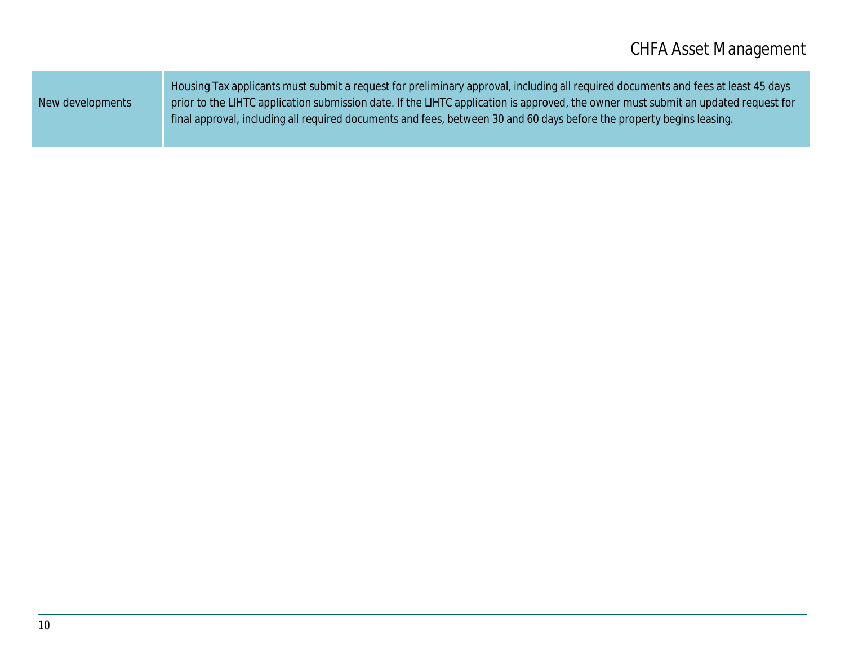|                  | Housing Tax applicants must submit a request for preliminary approval, including all required documents and fees at least 45 days  |  |
|------------------|------------------------------------------------------------------------------------------------------------------------------------|--|
| New developments | prior to the LIHTC application submission date. If the LIHTC application is approved, the owner must submit an updated request for |  |
|                  | final approval, including all required documents and fees, between 30 and 60 days before the property begins leasing.              |  |
|                  |                                                                                                                                    |  |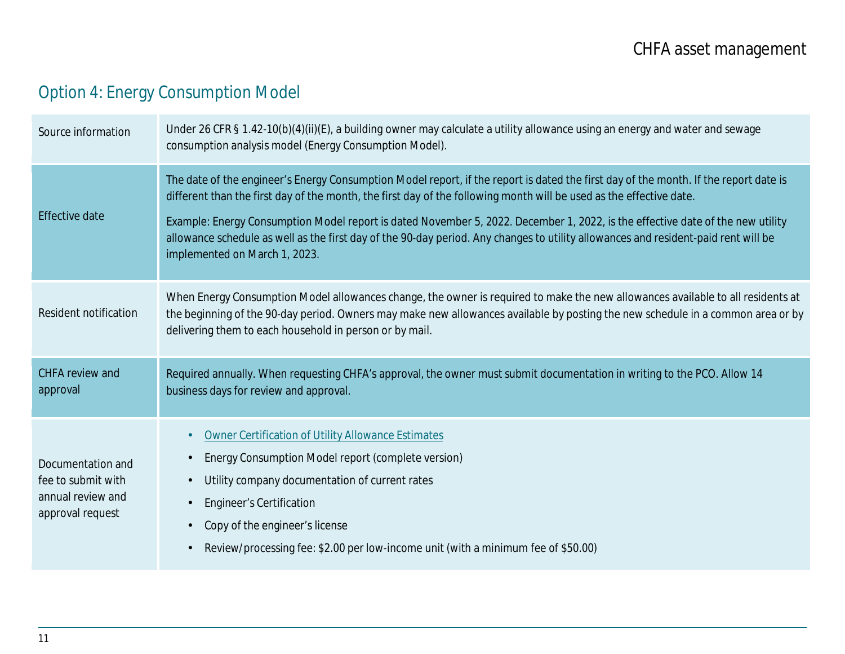## Option 4: Energy Consumption Model

<span id="page-10-0"></span>

| Source information                                                               | Under 26 CFR § 1.42-10(b)(4)(ii)(E), a building owner may calculate a utility allowance using an energy and water and sewage<br>consumption analysis model (Energy Consumption Model).                                                                                                                                                                                                                                                                                                                                                                               |
|----------------------------------------------------------------------------------|----------------------------------------------------------------------------------------------------------------------------------------------------------------------------------------------------------------------------------------------------------------------------------------------------------------------------------------------------------------------------------------------------------------------------------------------------------------------------------------------------------------------------------------------------------------------|
| <b>Effective date</b>                                                            | The date of the engineer's Energy Consumption Model report, if the report is dated the first day of the month. If the report date is<br>different than the first day of the month, the first day of the following month will be used as the effective date.<br>Example: Energy Consumption Model report is dated November 5, 2022. December 1, 2022, is the effective date of the new utility<br>allowance schedule as well as the first day of the 90-day period. Any changes to utility allowances and resident-paid rent will be<br>implemented on March 1, 2023. |
| Resident notification                                                            | When Energy Consumption Model allowances change, the owner is required to make the new allowances available to all residents at<br>the beginning of the 90-day period. Owners may make new allowances available by posting the new schedule in a common area or by<br>delivering them to each household in person or by mail.                                                                                                                                                                                                                                        |
| CHFA review and<br>approval                                                      | Required annually. When requesting CHFA's approval, the owner must submit documentation in writing to the PCO. Allow 14<br>business days for review and approval.                                                                                                                                                                                                                                                                                                                                                                                                    |
| Documentation and<br>fee to submit with<br>annual review and<br>approval request | Owner Certification of Utility Allowance Estimates<br>$\bullet$<br>Energy Consumption Model report (complete version)<br>Utility company documentation of current rates<br><b>Engineer's Certification</b><br>Copy of the engineer's license<br>$\bullet$<br>Review/processing fee: \$2.00 per low-income unit (with a minimum fee of \$50.00)<br>$\bullet$                                                                                                                                                                                                          |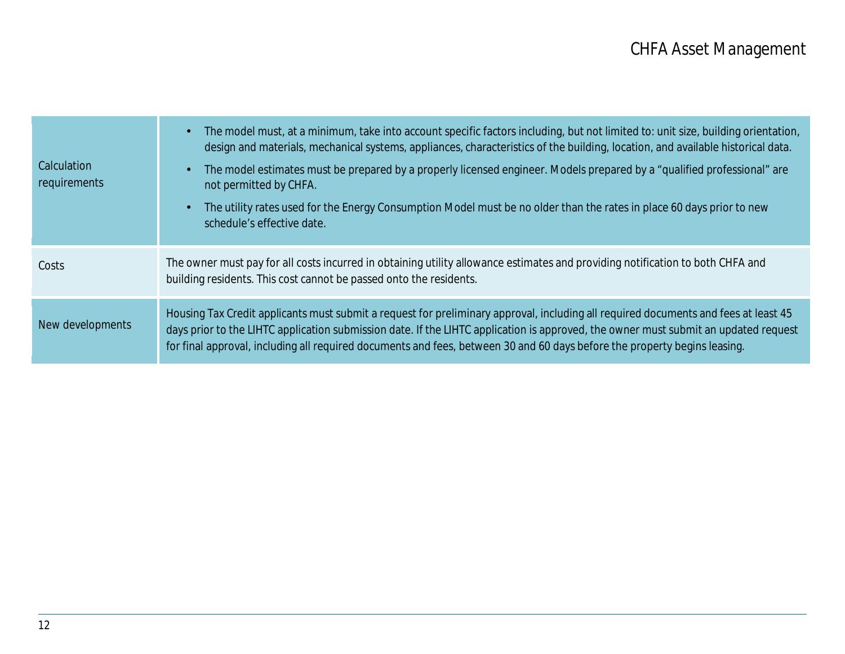| Calculation<br>requirements | The model must, at a minimum, take into account specific factors including, but not limited to: unit size, building orientation,<br>design and materials, mechanical systems, appliances, characteristics of the building, location, and available historical data.<br>The model estimates must be prepared by a properly licensed engineer. Models prepared by a "qualified professional" are<br>not permitted by CHFA.<br>The utility rates used for the Energy Consumption Model must be no older than the rates in place 60 days prior to new<br>schedule's effective date. |
|-----------------------------|---------------------------------------------------------------------------------------------------------------------------------------------------------------------------------------------------------------------------------------------------------------------------------------------------------------------------------------------------------------------------------------------------------------------------------------------------------------------------------------------------------------------------------------------------------------------------------|
| Costs                       | The owner must pay for all costs incurred in obtaining utility allowance estimates and providing notification to both CHFA and<br>building residents. This cost cannot be passed onto the residents.                                                                                                                                                                                                                                                                                                                                                                            |
| New developments            | Housing Tax Credit applicants must submit a request for preliminary approval, including all required documents and fees at least 45<br>days prior to the LIHTC application submission date. If the LIHTC application is approved, the owner must submit an updated request<br>for final approval, including all required documents and fees, between 30 and 60 days before the property begins leasing.                                                                                                                                                                         |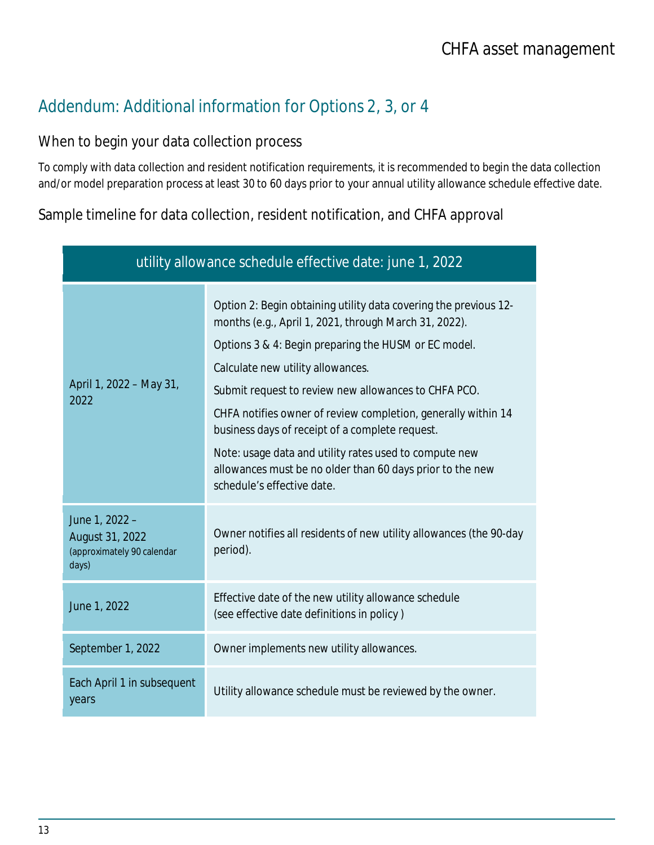## <span id="page-12-0"></span>Addendum: Additional information for Options 2, 3, or 4

#### When to begin your data collection process

To comply with data collection and resident notification requirements, it is recommended to begin the data collection and/or model preparation process at least 30 to 60 days prior to your annual utility allowance schedule effective date.

Sample timeline for data collection, resident notification, and CHFA approval

| utility allowance schedule effective date: june 1, 2022                  |                                                                                                                                                                                                                                                                                                                                                                                                                                                                                                                                                         |
|--------------------------------------------------------------------------|---------------------------------------------------------------------------------------------------------------------------------------------------------------------------------------------------------------------------------------------------------------------------------------------------------------------------------------------------------------------------------------------------------------------------------------------------------------------------------------------------------------------------------------------------------|
| April 1, 2022 - May 31,<br>2022                                          | Option 2: Begin obtaining utility data covering the previous 12-<br>months (e.g., April 1, 2021, through March 31, 2022).<br>Options 3 & 4: Begin preparing the HUSM or EC model.<br>Calculate new utility allowances.<br>Submit request to review new allowances to CHFA PCO.<br>CHFA notifies owner of review completion, generally within 14<br>business days of receipt of a complete request.<br>Note: usage data and utility rates used to compute new<br>allowances must be no older than 60 days prior to the new<br>schedule's effective date. |
| June 1, 2022 -<br>August 31, 2022<br>(approximately 90 calendar<br>days) | Owner notifies all residents of new utility allowances (the 90-day<br>period).                                                                                                                                                                                                                                                                                                                                                                                                                                                                          |
| June 1, 2022                                                             | Effective date of the new utility allowance schedule<br>(see effective date definitions in policy)                                                                                                                                                                                                                                                                                                                                                                                                                                                      |
| September 1, 2022                                                        | Owner implements new utility allowances.                                                                                                                                                                                                                                                                                                                                                                                                                                                                                                                |
| Each April 1 in subsequent<br>years                                      | Utility allowance schedule must be reviewed by the owner.                                                                                                                                                                                                                                                                                                                                                                                                                                                                                               |